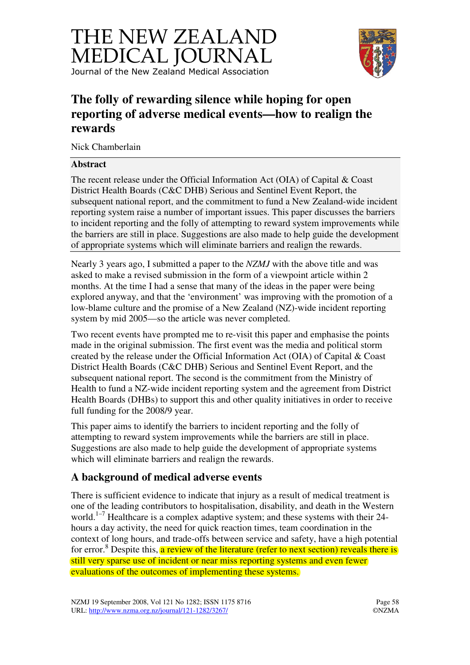



# **The folly of rewarding silence while hoping for open reporting of adverse medical events—how to realign the rewards**

Nick Chamberlain

#### **Abstract**

The recent release under the Official Information Act (OIA) of Capital & Coast District Health Boards (C&C DHB) Serious and Sentinel Event Report, the subsequent national report, and the commitment to fund a New Zealand-wide incident reporting system raise a number of important issues. This paper discusses the barriers to incident reporting and the folly of attempting to reward system improvements while the barriers are still in place. Suggestions are also made to help guide the development of appropriate systems which will eliminate barriers and realign the rewards.

Nearly 3 years ago, I submitted a paper to the *NZMJ* with the above title and was asked to make a revised submission in the form of a viewpoint article within 2 months. At the time I had a sense that many of the ideas in the paper were being explored anyway, and that the 'environment' was improving with the promotion of a low-blame culture and the promise of a New Zealand (NZ)-wide incident reporting system by mid 2005—so the article was never completed.

Two recent events have prompted me to re-visit this paper and emphasise the points made in the original submission. The first event was the media and political storm created by the release under the Official Information Act (OIA) of Capital & Coast District Health Boards (C&C DHB) Serious and Sentinel Event Report, and the subsequent national report. The second is the commitment from the Ministry of Health to fund a NZ-wide incident reporting system and the agreement from District Health Boards (DHBs) to support this and other quality initiatives in order to receive full funding for the 2008/9 year.

This paper aims to identify the barriers to incident reporting and the folly of attempting to reward system improvements while the barriers are still in place. Suggestions are also made to help guide the development of appropriate systems which will eliminate barriers and realign the rewards.

## **A background of medical adverse events**

There is sufficient evidence to indicate that injury as a result of medical treatment is one of the leading contributors to hospitalisation, disability, and death in the Western world.<sup>1–7</sup> Healthcare is a complex adaptive system; and these systems with their 24hours a day activity, the need for quick reaction times, team coordination in the context of long hours, and trade-offs between service and safety, have a high potential for error.<sup>8</sup> Despite this, a review of the literature (refer to next section) reveals there is still very sparse use of incident or near miss reporting systems and even fewer evaluations of the outcomes of implementing these systems.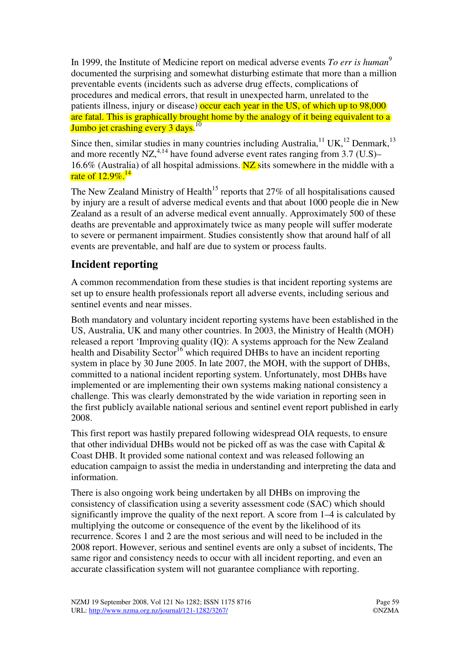In 1999, the Institute of Medicine report on medical adverse events *To err is human*<sup>9</sup> documented the surprising and somewhat disturbing estimate that more than a million preventable events (incidents such as adverse drug effects, complications of procedures and medical errors, that result in unexpected harm, unrelated to the patients illness, injury or disease) occur each year in the US, of which up to 98,000 are fatal. This is graphically brought home by the analogy of it being equivalent to a Jumbo jet crashing every 3 days.<sup>10</sup>

Since then, similar studies in many countries including Australia,<sup>11</sup> UK,<sup>12</sup> Denmark,<sup>13</sup> and more recently NZ,<sup>4,14</sup> have found adverse event rates ranging from  $3.7 \text{ (U.S)}$ 16.6% (Australia) of all hospital admissions.  $NZ$  sits somewhere in the middle with a rate of  $12.9\%$ <sup>14</sup>

The New Zealand Ministry of Health<sup>15</sup> reports that  $27\%$  of all hospitalisations caused by injury are a result of adverse medical events and that about 1000 people die in New Zealand as a result of an adverse medical event annually. Approximately 500 of these deaths are preventable and approximately twice as many people will suffer moderate to severe or permanent impairment. Studies consistently show that around half of all events are preventable, and half are due to system or process faults.

## **Incident reporting**

A common recommendation from these studies is that incident reporting systems are set up to ensure health professionals report all adverse events, including serious and sentinel events and near misses.

Both mandatory and voluntary incident reporting systems have been established in the US, Australia, UK and many other countries. In 2003, the Ministry of Health (MOH) released a report 'Improving quality (IQ): A systems approach for the New Zealand health and Disability Sector<sup>16</sup> which required DHBs to have an incident reporting system in place by 30 June 2005. In late 2007, the MOH, with the support of DHBs, committed to a national incident reporting system. Unfortunately, most DHBs have implemented or are implementing their own systems making national consistency a challenge. This was clearly demonstrated by the wide variation in reporting seen in the first publicly available national serious and sentinel event report published in early 2008.

This first report was hastily prepared following widespread OIA requests, to ensure that other individual DHBs would not be picked off as was the case with Capital  $\&$ Coast DHB. It provided some national context and was released following an education campaign to assist the media in understanding and interpreting the data and information.

There is also ongoing work being undertaken by all DHBs on improving the consistency of classification using a severity assessment code (SAC) which should significantly improve the quality of the next report. A score from 1–4 is calculated by multiplying the outcome or consequence of the event by the likelihood of its recurrence. Scores 1 and 2 are the most serious and will need to be included in the 2008 report. However, serious and sentinel events are only a subset of incidents, The same rigor and consistency needs to occur with all incident reporting, and even an accurate classification system will not guarantee compliance with reporting.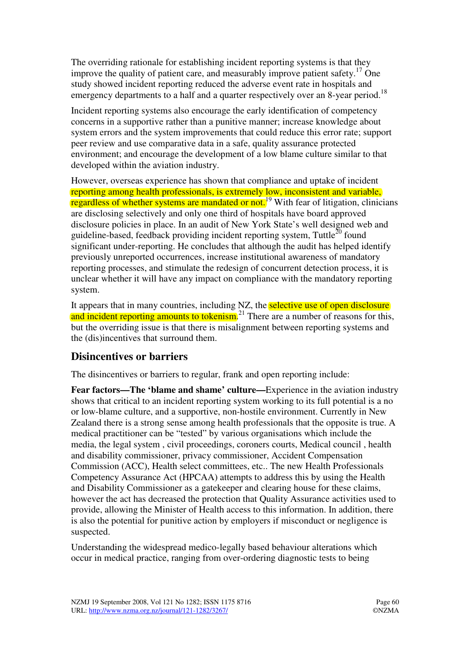The overriding rationale for establishing incident reporting systems is that they improve the quality of patient care, and measurably improve patient safety.<sup>17</sup> One study showed incident reporting reduced the adverse event rate in hospitals and emergency departments to a half and a quarter respectively over an 8-year period.<sup>18</sup>

Incident reporting systems also encourage the early identification of competency concerns in a supportive rather than a punitive manner; increase knowledge about system errors and the system improvements that could reduce this error rate; support peer review and use comparative data in a safe, quality assurance protected environment; and encourage the development of a low blame culture similar to that developed within the aviation industry.

However, overseas experience has shown that compliance and uptake of incident reporting among health professionals, is extremely low, inconsistent and variable, regardless of whether systems are mandated or not.<sup>19</sup> With fear of litigation, clinicians are disclosing selectively and only one third of hospitals have board approved disclosure policies in place. In an audit of New York State's well designed web and guideline-based, feedback providing incident reporting system, Tuttle<sup>20</sup> found significant under-reporting. He concludes that although the audit has helped identify previously unreported occurrences, increase institutional awareness of mandatory reporting processes, and stimulate the redesign of concurrent detection process, it is unclear whether it will have any impact on compliance with the mandatory reporting system.

It appears that in many countries, including NZ, the **selective use of open disclosure** and incident reporting amounts to tokenism.<sup>21</sup> There are a number of reasons for this, but the overriding issue is that there is misalignment between reporting systems and the (dis)incentives that surround them.

### **Disincentives or barriers**

The disincentives or barriers to regular, frank and open reporting include:

**Fear factors—The 'blame and shame' culture—**Experience in the aviation industry shows that critical to an incident reporting system working to its full potential is a no or low-blame culture, and a supportive, non-hostile environment. Currently in New Zealand there is a strong sense among health professionals that the opposite is true. A medical practitioner can be "tested" by various organisations which include the media, the legal system , civil proceedings, coroners courts, Medical council , health and disability commissioner, privacy commissioner, Accident Compensation Commission (ACC), Health select committees, etc.. The new Health Professionals Competency Assurance Act (HPCAA) attempts to address this by using the Health and Disability Commissioner as a gatekeeper and clearing house for these claims, however the act has decreased the protection that Quality Assurance activities used to provide, allowing the Minister of Health access to this information. In addition, there is also the potential for punitive action by employers if misconduct or negligence is suspected.

Understanding the widespread medico-legally based behaviour alterations which occur in medical practice, ranging from over-ordering diagnostic tests to being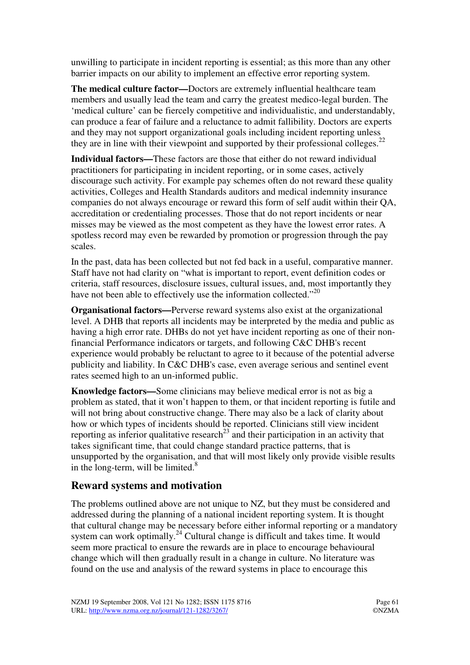unwilling to participate in incident reporting is essential; as this more than any other barrier impacts on our ability to implement an effective error reporting system.

**The medical culture factor—**Doctors are extremely influential healthcare team members and usually lead the team and carry the greatest medico-legal burden. The 'medical culture' can be fiercely competitive and individualistic, and understandably, can produce a fear of failure and a reluctance to admit fallibility. Doctors are experts and they may not support organizational goals including incident reporting unless they are in line with their viewpoint and supported by their professional colleges.<sup>22</sup>

**Individual factors—**These factors are those that either do not reward individual practitioners for participating in incident reporting, or in some cases, actively discourage such activity. For example pay schemes often do not reward these quality activities, Colleges and Health Standards auditors and medical indemnity insurance companies do not always encourage or reward this form of self audit within their QA, accreditation or credentialing processes. Those that do not report incidents or near misses may be viewed as the most competent as they have the lowest error rates. A spotless record may even be rewarded by promotion or progression through the pay scales.

In the past, data has been collected but not fed back in a useful, comparative manner. Staff have not had clarity on "what is important to report, event definition codes or criteria, staff resources, disclosure issues, cultural issues, and, most importantly they have not been able to effectively use the information collected."<sup>20</sup>

**Organisational factors—**Perverse reward systems also exist at the organizational level. A DHB that reports all incidents may be interpreted by the media and public as having a high error rate. DHBs do not yet have incident reporting as one of their nonfinancial Performance indicators or targets, and following C&C DHB's recent experience would probably be reluctant to agree to it because of the potential adverse publicity and liability. In C&C DHB's case, even average serious and sentinel event rates seemed high to an un-informed public.

**Knowledge factors—**Some clinicians may believe medical error is not as big a problem as stated, that it won't happen to them, or that incident reporting is futile and will not bring about constructive change. There may also be a lack of clarity about how or which types of incidents should be reported. Clinicians still view incident reporting as inferior qualitative research<sup>23</sup> and their participation in an activity that takes significant time, that could change standard practice patterns, that is unsupported by the organisation, and that will most likely only provide visible results in the long-term, will be limited. $8$ 

### **Reward systems and motivation**

The problems outlined above are not unique to NZ, but they must be considered and addressed during the planning of a national incident reporting system. It is thought that cultural change may be necessary before either informal reporting or a mandatory system can work optimally.<sup>24</sup> Cultural change is difficult and takes time. It would seem more practical to ensure the rewards are in place to encourage behavioural change which will then gradually result in a change in culture. No literature was found on the use and analysis of the reward systems in place to encourage this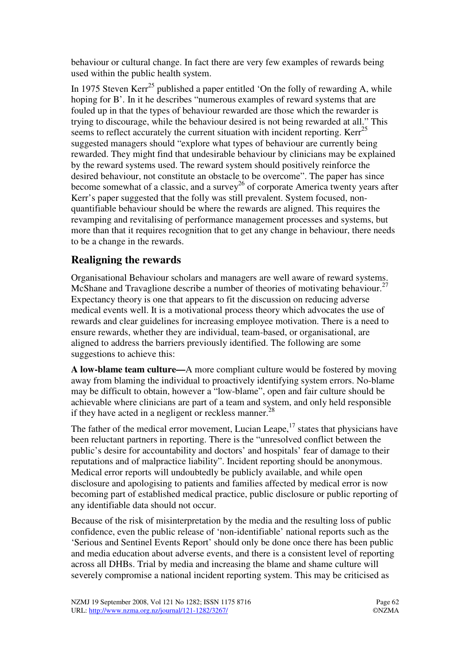behaviour or cultural change. In fact there are very few examples of rewards being used within the public health system.

In 1975 Steven  $Kerr^{25}$  published a paper entitled 'On the folly of rewarding A, while hoping for B'. In it he describes "numerous examples of reward systems that are fouled up in that the types of behaviour rewarded are those which the rewarder is trying to discourage, while the behaviour desired is not being rewarded at all." This seems to reflect accurately the current situation with incident reporting. Kerr<sup>25</sup> suggested managers should "explore what types of behaviour are currently being rewarded. They might find that undesirable behaviour by clinicians may be explained by the reward systems used. The reward system should positively reinforce the desired behaviour, not constitute an obstacle to be overcome". The paper has since become somewhat of a classic, and a survey<sup>26</sup> of corporate America twenty years after Kerr's paper suggested that the folly was still prevalent. System focused, nonquantifiable behaviour should be where the rewards are aligned. This requires the revamping and revitalising of performance management processes and systems, but more than that it requires recognition that to get any change in behaviour, there needs to be a change in the rewards.

## **Realigning the rewards**

Organisational Behaviour scholars and managers are well aware of reward systems. McShane and Travaglione describe a number of theories of motivating behaviour.<sup>27</sup> Expectancy theory is one that appears to fit the discussion on reducing adverse medical events well. It is a motivational process theory which advocates the use of rewards and clear guidelines for increasing employee motivation. There is a need to ensure rewards, whether they are individual, team-based, or organisational, are aligned to address the barriers previously identified. The following are some suggestions to achieve this:

**A low-blame team culture—**A more compliant culture would be fostered by moving away from blaming the individual to proactively identifying system errors. No-blame may be difficult to obtain, however a "low-blame", open and fair culture should be achievable where clinicians are part of a team and system, and only held responsible if they have acted in a negligent or reckless manner.<sup>28</sup>

The father of the medical error movement, Lucian Leape, $17$  states that physicians have been reluctant partners in reporting. There is the "unresolved conflict between the public's desire for accountability and doctors' and hospitals' fear of damage to their reputations and of malpractice liability". Incident reporting should be anonymous. Medical error reports will undoubtedly be publicly available, and while open disclosure and apologising to patients and families affected by medical error is now becoming part of established medical practice, public disclosure or public reporting of any identifiable data should not occur.

Because of the risk of misinterpretation by the media and the resulting loss of public confidence, even the public release of 'non-identifiable' national reports such as the 'Serious and Sentinel Events Report' should only be done once there has been public and media education about adverse events, and there is a consistent level of reporting across all DHBs. Trial by media and increasing the blame and shame culture will severely compromise a national incident reporting system. This may be criticised as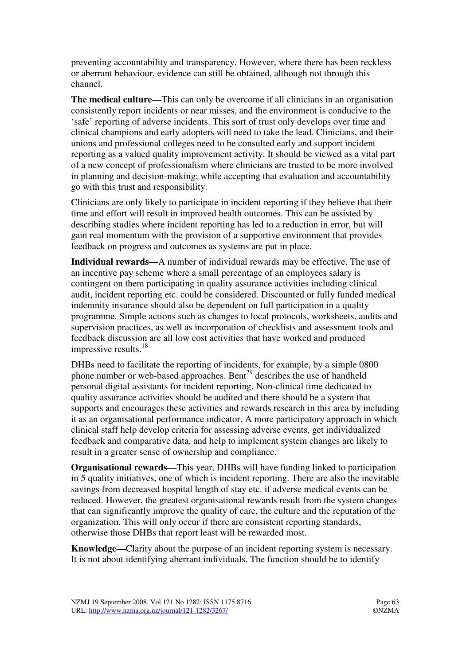preventing accountability and transparency. However, where there has been reckless or aberrant behaviour, evidence can still be obtained, although not through this channel.

**The medical culture—**This can only be overcome if all clinicians in an organisation consistently report incidents or near misses, and the environment is conducive to the 'safe' reporting of adverse incidents. This sort of trust only develops over time and clinical champions and early adopters will need to take the lead. Clinicians, and their unions and professional colleges need to be consulted early and support incident reporting as a valued quality improvement activity. It should be viewed as a vital part of a new concept of professionalism where clinicians are trusted to be more involved in planning and decision-making; while accepting that evaluation and accountability go with this trust and responsibility.

Clinicians are only likely to participate in incident reporting if they believe that their time and effort will result in improved health outcomes. This can be assisted by describing studies where incident reporting has led to a reduction in error, but will gain real momentum with the provision of a supportive environment that provides feedback on progress and outcomes as systems are put in place.

**Individual rewards—**A number of individual rewards may be effective. The use of an incentive pay scheme where a small percentage of an employees salary is contingent on them participating in quality assurance activities including clinical audit, incident reporting etc. could be considered. Discounted or fully funded medical indemnity insurance should also be dependent on full participation in a quality programme. Simple actions such as changes to local protocols, worksheets, audits and supervision practices, as well as incorporation of checklists and assessment tools and feedback discussion are all low cost activities that have worked and produced impressive results.<sup>18</sup>

DHBs need to facilitate the reporting of incidents, for example, by a simple 0800 phone number or web-based approaches. Bent<sup>29</sup> describes the use of handheld personal digital assistants for incident reporting. Non-clinical time dedicated to quality assurance activities should be audited and there should be a system that supports and encourages these activities and rewards research in this area by including it as an organisational performance indicator. A more participatory approach in which clinical staff help develop criteria for assessing adverse events, get individualized feedback and comparative data, and help to implement system changes are likely to result in a greater sense of ownership and compliance.

**Organisational rewards—**This year, DHBs will have funding linked to participation in 5 quality initiatives, one of which is incident reporting. There are also the inevitable savings from decreased hospital length of stay etc. if adverse medical events can be reduced. However, the greatest organisational rewards result from the system changes that can significantly improve the quality of care, the culture and the reputation of the organization. This will only occur if there are consistent reporting standards, otherwise those DHBs that report least will be rewarded most.

**Knowledge—**Clarity about the purpose of an incident reporting system is necessary. It is not about identifying aberrant individuals. The function should be to identify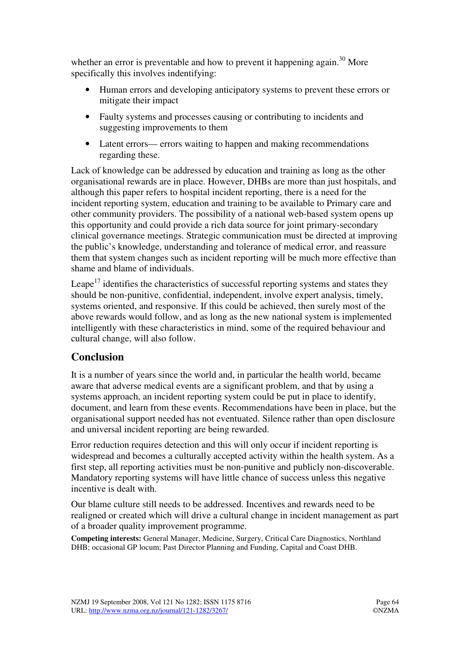whether an error is preventable and how to prevent it happening again.<sup>30</sup> More specifically this involves indentifying:

- Human errors and developing anticipatory systems to prevent these errors or mitigate their impact
- Faulty systems and processes causing or contributing to incidents and suggesting improvements to them
- Latent errors— errors waiting to happen and making recommendations regarding these.

Lack of knowledge can be addressed by education and training as long as the other organisational rewards are in place. However, DHBs are more than just hospitals, and although this paper refers to hospital incident reporting, there is a need for the incident reporting system, education and training to be available to Primary care and other community providers. The possibility of a national web-based system opens up this opportunity and could provide a rich data source for joint primary-secondary clinical governance meetings. Strategic communication must be directed at improving the public's knowledge, understanding and tolerance of medical error, and reassure them that system changes such as incident reporting will be much more effective than shame and blame of individuals.

Leape<sup>17</sup> identifies the characteristics of successful reporting systems and states they should be non-punitive, confidential, independent, involve expert analysis, timely, systems oriented, and responsive. If this could be achieved, then surely most of the above rewards would follow, and as long as the new national system is implemented intelligently with these characteristics in mind, some of the required behaviour and cultural change, will also follow.

## **Conclusion**

It is a number of years since the world and, in particular the health world, became aware that adverse medical events are a significant problem, and that by using a systems approach, an incident reporting system could be put in place to identify, document, and learn from these events. Recommendations have been in place, but the organisational support needed has not eventuated. Silence rather than open disclosure and universal incident reporting are being rewarded.

Error reduction requires detection and this will only occur if incident reporting is widespread and becomes a culturally accepted activity within the health system. As a first step, all reporting activities must be non-punitive and publicly non-discoverable. Mandatory reporting systems will have little chance of success unless this negative incentive is dealt with.

Our blame culture still needs to be addressed. Incentives and rewards need to be realigned or created which will drive a cultural change in incident management as part of a broader quality improvement programme.

**Competing interests:** General Manager, Medicine, Surgery, Critical Care Diagnostics, Northland DHB; occasional GP locum; Past Director Planning and Funding, Capital and Coast DHB.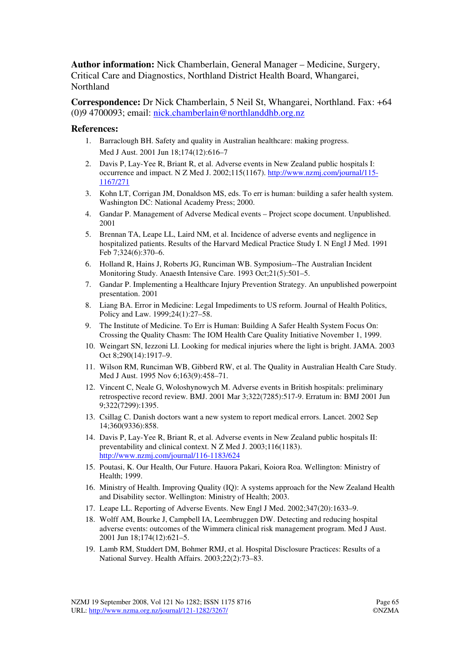**Author information:** Nick Chamberlain, General Manager – Medicine, Surgery, Critical Care and Diagnostics, Northland District Health Board, Whangarei, Northland

**Correspondence:** Dr Nick Chamberlain, 5 Neil St, Whangarei, Northland. Fax: +64 (0)9 4700093; email: nick.chamberlain@northlanddhb.org.nz

#### **References:**

- 1. Barraclough BH. Safety and quality in Australian healthcare: making progress. Med J Aust. 2001 Jun 18;174(12):616–7
- 2. Davis P, Lay-Yee R, Briant R, et al. Adverse events in New Zealand public hospitals I: occurrence and impact. N Z Med J. 2002;115(1167). http://www.nzmj.com/journal/115- 1167/271
- 3. Kohn LT, Corrigan JM, Donaldson MS, eds. To err is human: building a safer health system. Washington DC: National Academy Press; 2000.
- 4. Gandar P. Management of Adverse Medical events Project scope document. Unpublished. 2001
- 5. Brennan TA, Leape LL, Laird NM, et al. Incidence of adverse events and negligence in hospitalized patients. Results of the Harvard Medical Practice Study I. N Engl J Med. 1991 Feb 7;324(6):370–6.
- 6. Holland R, Hains J, Roberts JG, Runciman WB. Symposium--The Australian Incident Monitoring Study. Anaesth Intensive Care. 1993 Oct;21(5):501–5.
- 7. Gandar P. Implementing a Healthcare Injury Prevention Strategy. An unpublished powerpoint presentation. 2001
- 8. Liang BA. Error in Medicine: Legal Impediments to US reform. Journal of Health Politics, Policy and Law. 1999;24(1):27–58.
- 9. The Institute of Medicine. To Err is Human: Building A Safer Health System Focus On: Crossing the Quality Chasm: The IOM Health Care Quality Initiative November 1, 1999.
- 10. Weingart SN, Iezzoni LI. Looking for medical injuries where the light is bright. JAMA. 2003 Oct 8;290(14):1917–9.
- 11. Wilson RM, Runciman WB, Gibberd RW, et al. The Quality in Australian Health Care Study. Med J Aust. 1995 Nov 6;163(9):458–71.
- 12. Vincent C, Neale G, Woloshynowych M. Adverse events in British hospitals: preliminary retrospective record review. BMJ. 2001 Mar 3;322(7285):517-9. Erratum in: BMJ 2001 Jun 9;322(7299):1395.
- 13. Csillag C. Danish doctors want a new system to report medical errors. Lancet. 2002 Sep 14;360(9336):858.
- 14. Davis P, Lay-Yee R, Briant R, et al. Adverse events in New Zealand public hospitals II: preventability and clinical context. N Z Med J. 2003;116(1183). http://www.nzmj.com/journal/116-1183/624
- 15. Poutasi, K. Our Health, Our Future. Hauora Pakari, Koiora Roa. Wellington: Ministry of Health; 1999.
- 16. Ministry of Health. Improving Quality (IQ): A systems approach for the New Zealand Health and Disability sector. Wellington: Ministry of Health; 2003.
- 17. Leape LL. Reporting of Adverse Events. New Engl J Med. 2002;347(20):1633–9.
- 18. Wolff AM, Bourke J, Campbell IA, Leembruggen DW. Detecting and reducing hospital adverse events: outcomes of the Wimmera clinical risk management program. Med J Aust. 2001 Jun 18;174(12):621–5.
- 19. Lamb RM, Studdert DM, Bohmer RMJ, et al. Hospital Disclosure Practices: Results of a National Survey. Health Affairs. 2003;22(2):73–83.